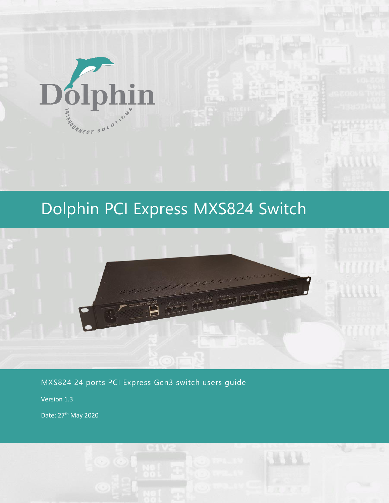

# Dolphin PCI Express MXS824 Switch



MXS824 24 ports PCI Express Gen3 switch users guide

Version 1.3

Date: 27<sup>th</sup> May 2020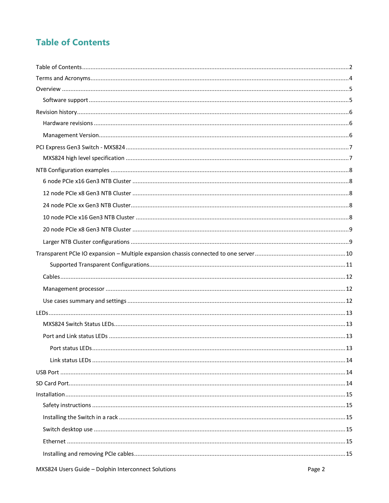# **Table of Contents**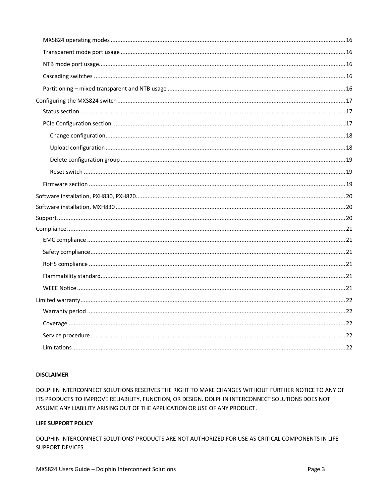#### **DISCLAIMER**

DOLPHIN INTERCONNECT SOLUTIONS RESERVES THE RIGHT TO MAKE CHANGES WITHOUT FURTHER NOTICE TO ANY OF ITS PRODUCTS TO IMPROVE RELIABILITY, FUNCTION, OR DESIGN. DOLPHIN INTERCONNECT SOLUTIONS DOES NOT ASSUME ANY LIABILITY ARISING OUT OF THE APPLICATION OR USE OF ANY PRODUCT.

#### LIFE SUPPORT POLICY

DOLPHIN INTERCONNECT SOLUTIONS' PRODUCTS ARE NOT AUTHORIZED FOR USE AS CRITICAL COMPONENTS IN LIFE SUPPORT DEVICES.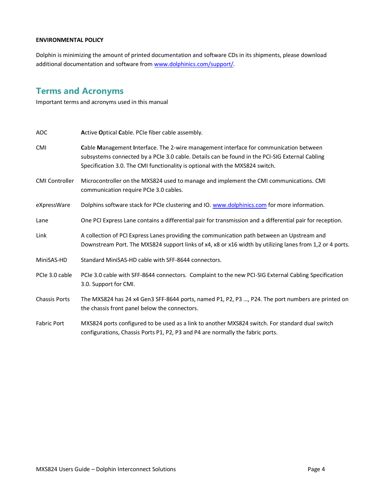#### **ENVIRONMENTAL POLICY**

Dolphin is minimizing the amount of printed documentation and software CDs in its shipments, please download additional documentation and software fro[m www.dolphinics.com/support/.](http://www.dolphinics.com/support/)

# **Terms and Acronyms**

Important terms and acronyms used in this manual

| <b>AOC</b>            | Active Optical Cable. PCIe fiber cable assembly.                                                                                                                                                                                                                        |
|-----------------------|-------------------------------------------------------------------------------------------------------------------------------------------------------------------------------------------------------------------------------------------------------------------------|
| <b>CMI</b>            | Cable Management Interface. The 2-wire management interface for communication between<br>subsystems connected by a PCIe 3.0 cable. Details can be found in the PCI-SIG External Cabling<br>Specification 3.0. The CMI functionality is optional with the MXS824 switch. |
| <b>CMI Controller</b> | Microcontroller on the MXS824 used to manage and implement the CMI communications. CMI<br>communication require PCIe 3.0 cables.                                                                                                                                        |
| eXpressWare           | Dolphins software stack for PCIe clustering and IO. www.dolphinics.com for more information.                                                                                                                                                                            |
| Lane                  | One PCI Express Lane contains a differential pair for transmission and a differential pair for reception.                                                                                                                                                               |
| Link                  | A collection of PCI Express Lanes providing the communication path between an Upstream and<br>Downstream Port. The MXS824 support links of x4, x8 or x16 width by utilizing lanes from 1,2 or 4 ports.                                                                  |
| MiniSAS-HD            | Standard MiniSAS-HD cable with SFF-8644 connectors.                                                                                                                                                                                                                     |
| PCIe 3.0 cable        | PCIe 3.0 cable with SFF-8644 connectors. Complaint to the new PCI-SIG External Cabling Specification<br>3.0. Support for CMI.                                                                                                                                           |
| <b>Chassis Ports</b>  | The MXS824 has 24 x4 Gen3 SFF-8644 ports, named P1, P2, P3 , P24. The port numbers are printed on<br>the chassis front panel below the connectors.                                                                                                                      |
| <b>Fabric Port</b>    | MXS824 ports configured to be used as a link to another MXS824 switch. For standard dual switch<br>configurations, Chassis Ports P1, P2, P3 and P4 are normally the fabric ports.                                                                                       |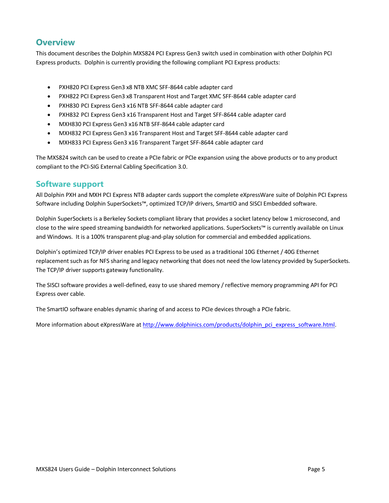## **Overview**

This document describes the Dolphin MXS824 PCI Express Gen3 switch used in combination with other Dolphin PCI Express products. Dolphin is currently providing the following compliant PCI Express products:

- PXH820 PCI Express Gen3 x8 NTB XMC SFF-8644 cable adapter card
- PXH822 PCI Express Gen3 x8 Transparent Host and Target XMC SFF-8644 cable adapter card
- PXH830 PCI Express Gen3 x16 NTB SFF-8644 cable adapter card
- PXH832 PCI Express Gen3 x16 Transparent Host and Target SFF-8644 cable adapter card
- MXH830 PCI Express Gen3 x16 NTB SFF-8644 cable adapter card
- MXH832 PCI Express Gen3 x16 Transparent Host and Target SFF-8644 cable adapter card
- MXH833 PCI Express Gen3 x16 Transparent Target SFF-8644 cable adapter card

The MXS824 switch can be used to create a PCIe fabric or PCIe expansion using the above products or to any product compliant to the PCI-SIG External Cabling Specification 3.0.

#### **Software support**

All Dolphin PXH and MXH PCI Express NTB adapter cards support the complete eXpressWare suite of Dolphin PCI Express Software including Dolphin SuperSockets™, optimized TCP/IP drivers, SmartIO and SISCI Embedded software.

Dolphin SuperSockets is a Berkeley Sockets compliant library that provides a socket latency below 1 microsecond, and close to the wire speed streaming bandwidth for networked applications. SuperSockets™ is currently available on Linux and Windows. It is a 100% transparent plug-and-play solution for commercial and embedded applications.

Dolphin's optimized TCP/IP driver enables PCI Express to be used as a traditional 10G Ethernet / 40G Ethernet replacement such as for NFS sharing and legacy networking that does not need the low latency provided by SuperSockets. The TCP/IP driver supports gateway functionality.

The SISCI software provides a well-defined, easy to use shared memory / reflective memory programming API for PCI Express over cable.

The SmartIO software enables dynamic sharing of and access to PCIe devices through a PCIe fabric.

More information about eXpressWare a[t http://www.dolphinics.com/products/dolphin\\_pci\\_express\\_software.html.](http://www.dolphinics.com/products/dolphin_pci_express_software.html)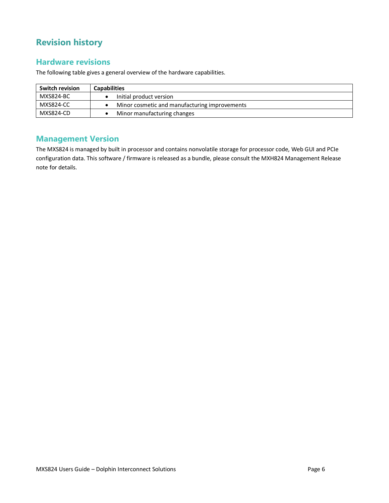# **Revision history**

#### **Hardware revisions**

The following table gives a general overview of the hardware capabilities.

| <b>Switch revision</b> | <b>Capabilities</b>                           |
|------------------------|-----------------------------------------------|
| MXS824-BC              | Initial product version                       |
| MXS824-CC              | Minor cosmetic and manufacturing improvements |
| MXS824-CD              | Minor manufacturing changes                   |

### **Management Version**

The MXS824 is managed by built in processor and contains nonvolatile storage for processor code, Web GUI and PCIe configuration data. This software / firmware is released as a bundle, please consult the MXH824 Management Release note for details.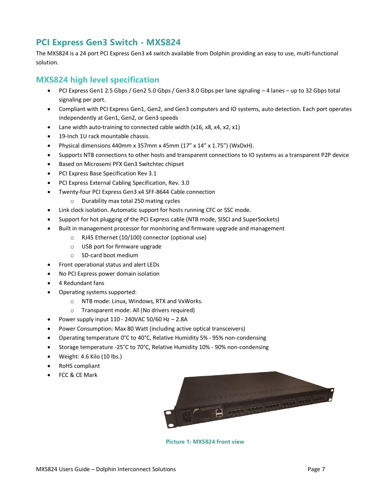# **PCI Express Gen3 Switch - MXS824**

The MXS824 is a 24 port PCI Express Gen3 x4 switch available from Dolphin providing an easy to use, multi-functional solution.

### **MXS824 high level specification**

- PCI Express Gen1 2.5 Gbps / Gen2 5.0 Gbps / Gen3 8.0 Gbps per lane signaling 4 lanes up to 32 Gbps total signaling per port.
- Compliant with PCI Express Gen1, Gen2, and Gen3 computers and IO systems, auto detection. Each port operates independently at Gen1, Gen2, or Gen3 speeds
- Lane width auto-training to connected cable width (x16, x8, x4, x2, x1)
- 19-Inch 1U rack mountable chassis.
- Physical dimensions 440mm x 357mm x 45mm  $(17'' \times 14'' \times 1.75'')$  (WxDxH).
- Supports NTB connections to other hosts and transparent connections to IO systems as a transparent P2P device
- Based on Microsemi PFX Gen3 Switchtec chipset
- PCI Express Base Specification Rev 3.1
- PCI Express External Cabling Specification, Rev. 3.0
- Twenty-four PCI Express Gen3 x4 SFF-8644 Cable connection
	- o Durability max total 250 mating cycles
- Link clock isolation. Automatic support for hosts running CFC or SSC mode.
- Support for hot plugging of the PCI Express cable (NTB mode, SISCI and SuperSockets)
- Built in management processor for monitoring and firmware upgrade and management
	- o RJ45 Ethernet (10/100) connector (optional use)
	- o USB port for firmware upgrade
	- o SD-card boot medium
- Front operational status and alert LEDs
- No PCI Express power domain isolation
- 4 Redundant fans
- Operating systems supported:
	- o NTB mode: Linux, Windows, RTX and VxWorks.
	- o Transparent mode: All (No drivers required)
- Power supply input  $110 240$ VAC 50/60 Hz  $2.8$ A
- Power Consumption: Max 80 Watt (including active optical transceivers)
- Operating temperature 0°C to 40°C, Relative Humidity 5% 95% non-condensing
- Storage temperature -25°C to 70°C, Relative Humidity 10% 90% non-condensing
- Weight: 4.6 Kilo (10 lbs.)
- RoHS compliant
- FCC & CE Mark



**Picture 1: MXS824 front view**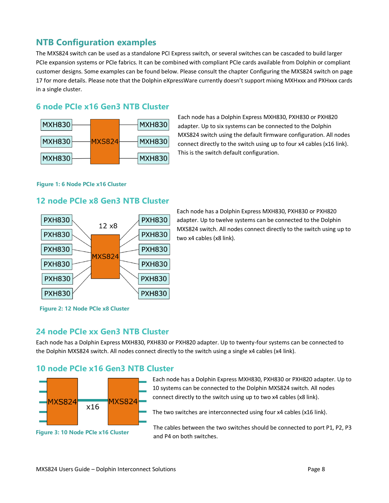# **NTB Configuration examples**

The MXS824 switch can be used as a standalone PCI Express switch, or several switches can be cascaded to build larger PCIe expansion systems or PCIe fabrics. It can be combined with compliant PCIe cards available from Dolphin or compliant customer designs. Some examples can be found below. Please consult the chapte[r Configuring the MXS824 switch](#page-17-0) on page [17](#page-17-0) for more details. Please note that the Dolphin eXpressWare currently doesn't support mixing MXHxxx and PXHxxx cards in a single cluster.

#### **6 node PCIe x16 Gen3 NTB Cluster**



Each node has a Dolphin Express MXH830, PXH830 or PXH820 adapter. Up to six systems can be connected to the Dolphin MXS824 switch using the default firmware configuration. All nodes connect directly to the switch using up to four x4 cables (x16 link). This is the switch default configuration.

#### **Figure 1: 6 Node PCIe x16 Cluster**

#### **12 node PCIe x8 Gen3 NTB Cluster**



Each node has a Dolphin Express MXH830, PXH830 or PXH820 adapter. Up to twelve systems can be connected to the Dolphin MXS824 switch. All nodes connect directly to the switch using up to two x4 cables (x8 link).

**Figure 2: 12 Node PCIe x8 Cluster**

### **24 node PCIe xx Gen3 NTB Cluster**

Each node has a Dolphin Express MXH830, PXH830 or PXH820 adapter. Up to twenty-four systems can be connected to the Dolphin MXS824 switch. All nodes connect directly to the switch using a single x4 cables (x4 link).

#### **10 node PCIe x16 Gen3 NTB Cluster**



**Figure 3: 10 Node PCIe x16 Cluster**

Each node has a Dolphin Express MXH830, PXH830 or PXH820 adapter. Up to 10 systems can be connected to the Dolphin MXS824 switch. All nodes connect directly to the switch using up to two x4 cables (x8 link).

The two switches are interconnected using four x4 cables (x16 link).

The cables between the two switches should be connected to port P1, P2, P3 and P4 on both switches.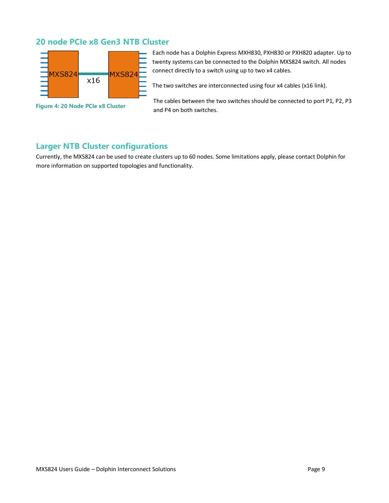### **20 node PCIe x8 Gen3 NTB Cluster**



**Figure 4: 20 Node PCIe x8 Cluster**

Each node has a Dolphin Express MXH830, PXH830 or PXH820 adapter. Up to twenty systems can be connected to the Dolphin MXS824 switch. All nodes connect directly to a switch using up to two x4 cables.

The two switches are interconnected using four x4 cables (x16 link).

The cables between the two switches should be connected to port P1, P2, P3 and P4 on both switches.

### **Larger NTB Cluster configurations**

Currently, the MXS824 can be used to create clusters up to 60 nodes. Some limitations apply, please contact Dolphin for more information on supported topologies and functionality.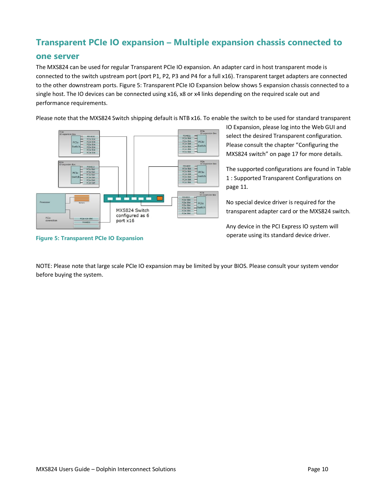# **Transparent PCIe IO expansion – Multiple expansion chassis connected to**

#### **one server**

The MXS824 can be used for regular Transparent PCIe IO expansion. An adapter card in host transparent mode is connected to the switch upstream port (port P1, P2, P3 and P4 for a full x16). Transparent target adapters are connected to the other downstream ports. [Figure 5: Transparent PCIe IO Expansion](#page-10-0) below shows 5 expansion chassis connected to a single host. The IO devices can be connected using x16, x8 or x4 links depending on the required scale out and performance requirements.

Please note that the MXS824 Switch shipping default is NTB x16. To enable the switch to be used for standard transparent



<span id="page-10-0"></span>**Figure 5: Transparent PCIe IO Expansion**

IO Expansion, please log into the Web GUI and select the desired Transparent configuration. Please consult the chapter "[Configuring the](#page-17-0)  [MXS824 switch](#page-17-0)" on pag[e 17](#page-17-0) for more details.

The supported configurations are found in [Table](#page-11-0)  1 [: Supported Transparent Configurations](#page-11-0) on page [11.](#page-11-0)

No special device driver is required for the transparent adapter card or the MXS824 switch.

Any device in the PCI Express IO system will operate using its standard device driver.

NOTE: Please note that large scale PCIe IO expansion may be limited by your BIOS. Please consult your system vendor before buying the system.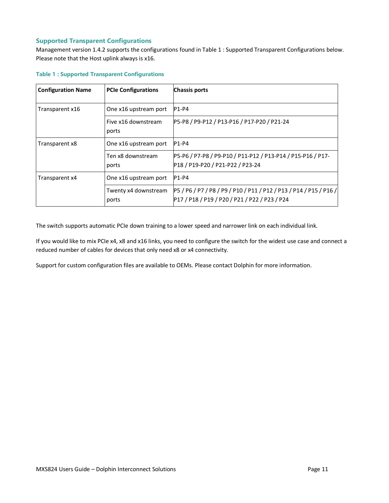#### **Supported Transparent Configurations**

Management version 1.4.2 supports the configurations found in Table 1 [: Supported Transparent Configurations](#page-11-0) below. Please note that the Host uplink always is x16.

| <b>Configuration Name</b> | <b>PCIe Configurations</b>    | <b>Chassis ports</b>                                                                            |
|---------------------------|-------------------------------|-------------------------------------------------------------------------------------------------|
| Transparent x16           | One x16 upstream port         | $P1-P4$                                                                                         |
|                           | Five x16 downstream<br>ports  | P5-P8 / P9-P12 / P13-P16 / P17-P20 / P21-24                                                     |
| Transparent x8            | One x16 upstream port         | $P1-P4$                                                                                         |
|                           | Ten x8 downstream<br>ports    | P5-P6 / P7-P8 / P9-P10 / P11-P12 / P13-P14 / P15-P16 / P17-<br>P18 / P19-P20 / P21-P22 / P23-24 |
| Transparent x4            | One x16 upstream port         | $P1-P4$                                                                                         |
|                           | Twenty x4 downstream<br>ports | P5/P6/P7/P8/P9/P10/P11/P12/P13/P14/P15/P16/<br>P17 / P18 / P19 / P20 / P21 / P22 / P23 / P24    |

#### <span id="page-11-0"></span>**Table 1 : Supported Transparent Configurations**

The switch supports automatic PCIe down training to a lower speed and narrower link on each individual link.

If you would like to mix PCIe x4, x8 and x16 links, you need to configure the switch for the widest use case and connect a reduced number of cables for devices that only need x8 or x4 connectivity.

Support for custom configuration files are available to OEMs. Please contact Dolphin for more information.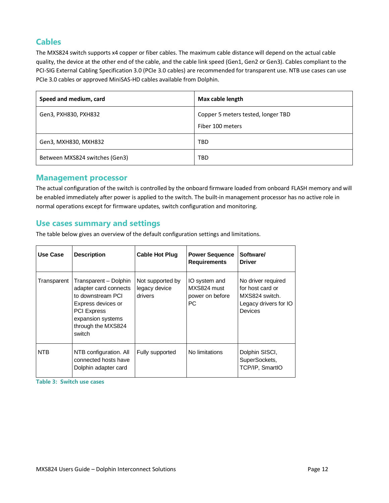### **Cables**

The MXS824 switch supports x4 copper or fiber cables. The maximum cable distance will depend on the actual cable quality, the device at the other end of the cable, and the cable link speed (Gen1, Gen2 or Gen3). Cables compliant to the PCI-SIG External Cabling Specification 3.0 (PCIe 3.0 cables) are recommended for transparent use. NTB use cases can use PCIe 3.0 cables or approved MiniSAS-HD cables available from Dolphin.

| Speed and medium, card         | Max cable length                                       |
|--------------------------------|--------------------------------------------------------|
| Gen3, PXH830, PXH832           | Copper 5 meters tested, longer TBD<br>Fiber 100 meters |
| Gen3, MXH830, MXH832           | TBD                                                    |
| Between MXS824 switches (Gen3) | TBD                                                    |

#### **Management processor**

The actual configuration of the switch is controlled by the onboard firmware loaded from onboard FLASH memory and will be enabled immediately after power is applied to the switch. The built-in management processor has no active role in normal operations except for firmware updates, switch configuration and monitoring.

#### **Use cases summary and settings**

The table below gives an overview of the default configuration settings and limitations.

| Use Case    | <b>Description</b>                                                                                                                                                   | <b>Cable Hot Plug</b>                        | <b>Power Sequence</b><br><b>Requirements</b>           | Software/<br><b>Driver</b>                                                                          |
|-------------|----------------------------------------------------------------------------------------------------------------------------------------------------------------------|----------------------------------------------|--------------------------------------------------------|-----------------------------------------------------------------------------------------------------|
| Transparent | Transparent - Dolphin<br>adapter card connects<br>to downstream PCI<br>Express devices or<br><b>PCI Express</b><br>expansion systems<br>through the MXS824<br>switch | Not supported by<br>legacy device<br>drivers | IO system and<br>MXS824 must<br>power on before<br>PC. | No driver required<br>for host card or<br>MXS824 switch.<br>Legacy drivers for IO<br><b>Devices</b> |
| <b>NTB</b>  | NTB configuration. All<br>connected hosts have<br>Dolphin adapter card                                                                                               | Fully supported                              | No limitations                                         | Dolphin SISCI,<br>SuperSockets,<br>TCP/IP, SmartIO                                                  |

**Table 3: Switch use cases**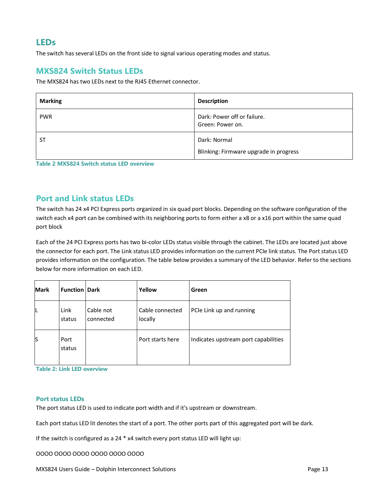### **LEDs**

The switch has several LEDs on the front side to signal various operating modes and status.

### **MXS824 Switch Status LEDs**

The MXS824 has two LEDs next to the RJ45 Ethernet connector.

| <b>Marking</b> | <b>Description</b>                                     |
|----------------|--------------------------------------------------------|
| <b>PWR</b>     | Dark: Power off or failure.<br>Green: Power on.        |
| SΤ             | Dark: Normal<br>Blinking: Firmware upgrade in progress |

**Table 2 MXS824 Switch status LED overview**

#### **Port and Link status LEDs**

The switch has 24 x4 PCI Express ports organized in six quad port blocks. Depending on the software configuration of the switch each x4 port can be combined with its neighboring ports to form either a x8 or a x16 port within the same quad port block

Each of the 24 PCI Express ports has two bi-color LEDs status visible through the cabinet. The LEDs are located just above the connector for each port. The Link status LED provides information on the current PCIe link status. The Port status LED provides information on the configuration. The table below provides a summary of the LED behavior. Refer to the sections below for more information on each LED.

| <b>Mark</b> | <b>Function Dark</b> |                        | Yellow                     | Green                                |
|-------------|----------------------|------------------------|----------------------------|--------------------------------------|
| L           | Link<br>status       | Cable not<br>connected | Cable connected<br>locally | PCIe Link up and running             |
| S           | Port<br>status       |                        | Port starts here           | Indicates upstream port capabilities |

**Table 2: Link LED overview**

#### **Port status LEDs**

The port status LED is used to indicate port width and if it's upstream or downstream.

Each port status LED lit denotes the start of a port. The other ports part of this aggregated port will be dark.

If the switch is configured as a 24 \* x4 switch every port status LED will light up:

OOOO OOOO OOOO OOOO OOOO OOOO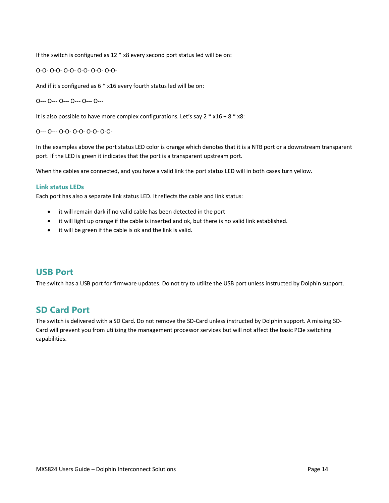If the switch is configured as 12 \* x8 every second port status led will be on:

O-O- O-O- O-O- O-O- O-O- O-O-

And if it's configured as 6 \* x16 every fourth status led will be on:

O--- O--- O--- O--- O--- O---

It is also possible to have more complex configurations. Let's say  $2 * x16 + 8 * x8$ :

O--- O--- O-O- O-O- O-O- O-O-

In the examples above the port status LED color is orange which denotes that it is a NTB port or a downstream transparent port. If the LED is green it indicates that the port is a transparent upstream port.

When the cables are connected, and you have a valid link the port status LED will in both cases turn yellow.

#### **Link status LEDs**

Each port has also a separate link status LED. It reflects the cable and link status:

- it will remain dark if no valid cable has been detected in the port
- it will light up orange if the cable is inserted and ok, but there is no valid link established.
- it will be green if the cable is ok and the link is valid.

#### **USB Port**

The switch has a USB port for firmware updates. Do not try to utilize the USB port unless instructed by Dolphin support.

### **SD Card Port**

The switch is delivered with a SD Card. Do not remove the SD-Card unless instructed by Dolphin support. A missing SD-Card will prevent you from utilizing the management processor services but will not affect the basic PCIe switching capabilities.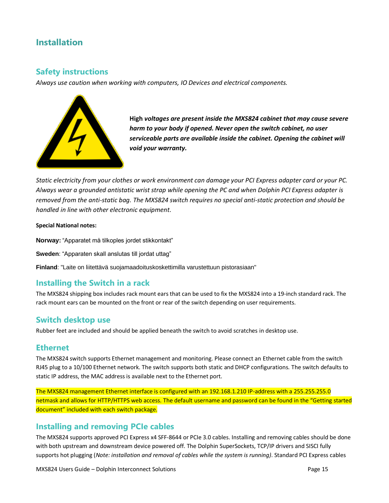# **Installation**

### **Safety instructions**

*Always use caution when working with computers, IO Devices and electrical components.*



**High** *voltages are present inside the MXS824 cabinet that may cause severe harm to your body if opened. Never open the switch cabinet, no user serviceable parts are available inside the cabinet. Opening the cabinet will void your warranty.*

*Static electricity from your clothes or work environment can damage your PCI Express adapter card or your PC. Always wear a grounded antistatic wrist strap while opening the PC and when Dolphin PCI Express adapter is removed from the anti-static bag. The MXS824 switch requires no special anti-static protection and should be handled in line with other electronic equipment.*

#### **Special National notes:**

**Norway:** "Apparatet må tilkoples jordet stikkontakt"

**Sweden**: "Apparaten skall anslutas till jordat uttag"

**Finland**: "Laite on liitettävä suojamaadoituskoskettimilla varustettuun pistorasiaan"

### **Installing the Switch in a rack**

The MXS824 shipping box includes rack mount ears that can be used to fix the MXS824 into a 19-inch standard rack. The rack mount ears can be mounted on the front or rear of the switch depending on user requirements.

#### **Switch desktop use**

Rubber feet are included and should be applied beneath the switch to avoid scratches in desktop use.

#### **Ethernet**

The MXS824 switch supports Ethernet management and monitoring. Please connect an Ethernet cable from the switch RJ45 plug to a 10/100 Ethernet network. The switch supports both static and DHCP configurations. The switch defaults to static IP address, the MAC address is available next to the Ethernet port.

The MXS824 management Ethernet interface is configured with an 192.168.1.210 IP-address with a 255.255.255.0 netmask and allows for HTTP/HTTPS web access. The default username and password can be found in the "Getting started document" included with each switch package.

### **Installing and removing PCIe cables**

The MXS824 supports approved PCI Express x4 SFF-8644 or PCIe 3.0 cables. Installing and removing cables should be done with both upstream and downstream device powered off. The Dolphin SuperSockets, TCP/IP drivers and SISCI fully supports hot plugging (*Note: installation and removal of cables while the system is running)*. Standard PCI Express cables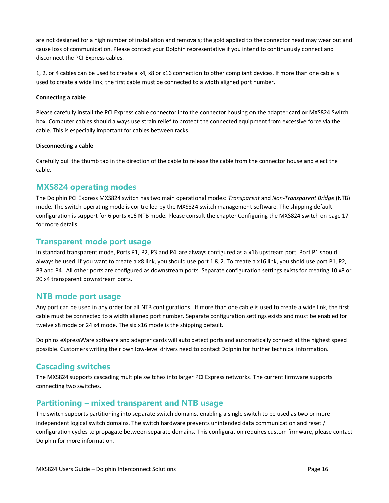are not designed for a high number of installation and removals; the gold applied to the connector head may wear out and cause loss of communication. Please contact your Dolphin representative if you intend to continuously connect and disconnect the PCI Express cables.

1, 2, or 4 cables can be used to create a x4, x8 or x16 connection to other compliant devices. If more than one cable is used to create a wide link, the first cable must be connected to a width aligned port number.

#### **Connecting a cable**

Please carefully install the PCI Express cable connector into the connector housing on the adapter card or MXS824 Switch box. Computer cables should always use strain relief to protect the connected equipment from excessive force via the cable. This is especially important for cables between racks.

#### **Disconnecting a cable**

Carefully pull the thumb tab in the direction of the cable to release the cable from the connector house and eject the cable.

#### **MXS824 operating modes**

The Dolphin PCI Express MXS824 switch has two main operational modes: *Transparent* and *Non-Transparent Bridge* (NTB) mode. The switch operating mode is controlled by the MXS824 switch management software. The shipping default configuration is support for 6 ports x16 NTB mode. Please consult the chapte[r Configuring the MXS824 switch](#page-17-0) on pag[e 17](#page-17-0) for more details.

#### **Transparent mode port usage**

In standard transparent mode, Ports P1, P2, P3 and P4 are always configured as a x16 upstream port. Port P1 should always be used. If you want to create a x8 link, you should use port 1 & 2. To create a x16 link, you shold use port P1, P2, P3 and P4. All other ports are configured as downstream ports. Separate configuration settings exists for creating 10 x8 or 20 x4 transparent downstream ports.

#### **NTB mode port usage**

Any port can be used in any order for all NTB configurations. If more than one cable is used to create a wide link, the first cable must be connected to a width aligned port number. Separate configuration settings exists and must be enabled for twelve x8 mode or 24 x4 mode. The six x16 mode is the shipping default.

Dolphins eXpressWare software and adapter cards will auto detect ports and automatically connect at the highest speed possible. Customers writing their own low-level drivers need to contact Dolphin for further technical information.

#### **Cascading switches**

The MXS824 supports cascading multiple switches into larger PCI Express networks. The current firmware supports connecting two switches.

#### **Partitioning – mixed transparent and NTB usage**

The switch supports partitioning into separate switch domains, enabling a single switch to be used as two or more independent logical switch domains. The switch hardware prevents unintended data communication and reset / configuration cycles to propagate between separate domains. This configuration requires custom firmware, please contact Dolphin for more information.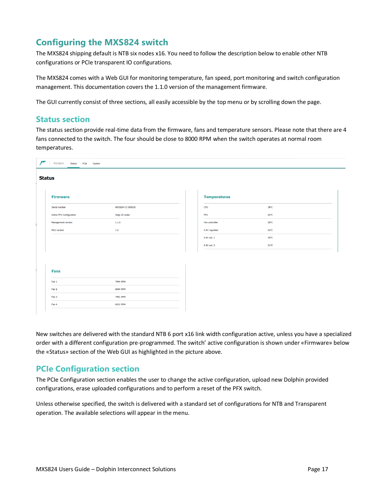# <span id="page-17-0"></span>**Configuring the MXS824 switch**

The MXS824 shipping default is NTB six nodes x16. You need to follow the description below to enable other NTB configurations or PCIe transparent IO configurations.

The MXS824 comes with a Web GUI for monitoring temperature, fan speed, port monitoring and switch configuration management. This documentation covers the 1.1.0 version of the management firmware.

The GUI currently consist of three sections, all easily accessible by the top menu or by scrolling down the page.

### **Status section**

The status section provide real-time data from the firmware, fans and temperature sensors. Please note that there are 4 fans connected to the switch. The four should be close to 8000 RPM when the switch operates at normal room temperatures.

| <b>Status</b>                   |                  |                     |                |  |
|---------------------------------|------------------|---------------------|----------------|--|
| <b>Firmware</b>                 |                  | <b>Temperatures</b> |                |  |
| Serial number                   | MXS824-CC-000030 | CPU                 | 39°C           |  |
| <b>Active PFX Configuration</b> | Stigs 20 noder   | PFX                 | 42°C           |  |
| Management version              | 1.1.0            | Fan controller      | $26^{\circ}$ C |  |
| <b>MCU</b> version              | 1.0              | 0.9V regulator      | 42°C           |  |
|                                 |                  | 0.9V ext. 1         | $30^{\circ}$ C |  |
|                                 |                  | 0.9V ext. 2         | $31^{\circ}$ C |  |
|                                 |                  |                     |                |  |
|                                 |                  |                     |                |  |
| <b>Fans</b>                     |                  |                     |                |  |
| Fan 1                           | 7944 RPM         |                     |                |  |
| Fan 2                           | 8064 RPM         |                     |                |  |
| Fan 3                           | 7961 RPM         |                     |                |  |
| Fan 4                           | 8012 RPM         |                     |                |  |

New switches are delivered with the standard NTB 6 port x16 link width configuration active, unless you have a specialized order with a different configuration pre-programmed. The switch' active configuration is shown under «Firmware» below the «Status» section of the Web GUI as highlighted in the picture above.

### **PCIe Configuration section**

The PCIe Configuration section enables the user to change the active configuration, upload new Dolphin provided configurations, erase uploaded configurations and to perform a reset of the PFX switch.

Unless otherwise specified, the switch is delivered with a standard set of configurations for NTB and Transparent operation. The available selections will appear in the menu.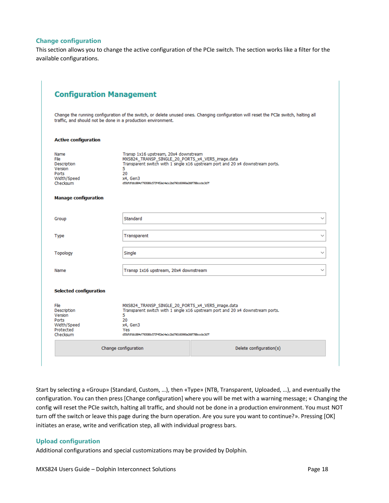#### **Change configuration**

This section allows you to change the active configuration of the PCIe switch. The section works like a filter for the available configurations.

|                                                                                                                  | <b>Configuration Management</b>                                                                                                                                                      |                                                                                                                                       |
|------------------------------------------------------------------------------------------------------------------|--------------------------------------------------------------------------------------------------------------------------------------------------------------------------------------|---------------------------------------------------------------------------------------------------------------------------------------|
|                                                                                                                  | traffic, and should not be done in a production environment.                                                                                                                         | Change the running configuration of the switch, or delete unused ones. Changing configuration will reset the PCIe switch, halting all |
| <b>Active configuration</b>                                                                                      |                                                                                                                                                                                      |                                                                                                                                       |
| Name<br>File<br>Description<br>Version<br>Ports<br>Width/Speed<br>Checksum                                       | Transp 1x16 upstream, 20x4 downstream<br>MXS824 TRANSP SINGLE 20 PORTS x4 VER5 image.data<br>5<br>20<br>x4, Gen3<br>d55dfdfdb1884cf793080c573f452c14a1c2bd790160990a266f788cccbc3d7f | Transparent switch with 1 single x16 upstream port and 20 x4 downstream ports.                                                        |
| <b>Manage configuration</b>                                                                                      |                                                                                                                                                                                      |                                                                                                                                       |
| Group                                                                                                            | Standard                                                                                                                                                                             | $\checkmark$                                                                                                                          |
| Type                                                                                                             | Transparent                                                                                                                                                                          | $\checkmark$                                                                                                                          |
| <b>Topology</b>                                                                                                  | Single                                                                                                                                                                               | V                                                                                                                                     |
| Name                                                                                                             | Transp 1x16 upstream, 20x4 downstream                                                                                                                                                | $\checkmark$                                                                                                                          |
|                                                                                                                  |                                                                                                                                                                                      |                                                                                                                                       |
|                                                                                                                  |                                                                                                                                                                                      |                                                                                                                                       |
| <b>Selected configuration</b><br>File<br>Description<br>Version<br>Ports<br>Width/Speed<br>Protected<br>Checksum | MXS824_TRANSP_SINGLE_20_PORTS_x4_VER5_image.data<br>5<br>20<br>x4, Gen3<br>Yes<br>d55dfdfdb1884cf793080c573f452c14a1c2bd790160990a266f788cccbc3d7f                                   | Transparent switch with 1 single x16 upstream port and 20 x4 downstream ports.                                                        |

Start by selecting a «Group» (Standard, Custom, …), then «Type» (NTB, Transparent, Uploaded, …), and eventually the configuration. You can then press [Change configuration] where you will be met with a warning message; « Changing the config will reset the PCIe switch, halting all traffic, and should not be done in a production environment. You must NOT turn off the switch or leave this page during the burn operation. Are you sure you want to continue?». Pressing [OK] initiates an erase, write and verification step, all with individual progress bars.

#### **Upload configuration**

Additional configurations and special customizations may be provided by Dolphin.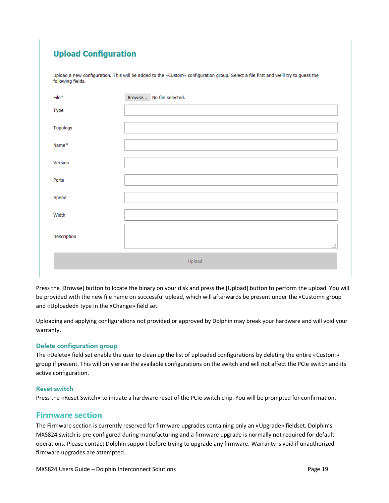# **Upload Configuration**

Upload a new configuration. This will be added to the «Custom» configuration group. Select a file first and we'll try to guess the following fields.

| $File*$     | Browse<br>No file selected. |
|-------------|-----------------------------|
| Type        |                             |
| Topology    |                             |
| Name*       |                             |
| Version     |                             |
| Ports       |                             |
| Speed       |                             |
| Width       |                             |
| Description | аł,                         |
|             | Upload                      |

Press the [Browse] button to locate the binary on your disk and press the [Upload] button to perform the upload. You will be provided with the new file name on successful upload, which will afterwards be present under the «Custom» group and «Uploaded» type in the «Change» field set.

Uploading and applying configurations not provided or approved by Dolphin may break your hardware and will void your warranty.

#### **Delete configuration group**

The «Delete» field set enable the user to clean up the list of uploaded configurations by deleting the entire «Custom» group if present. This will only erase the available configurations on the switch and will not affect the PCIe switch and its active configuration.

#### **Reset switch**

Press the «Reset Switch» to initiate a hardware reset of the PCIe switch chip. You will be prompted for confirmation.

#### **Firmware section**

The Firmware section is currently reserved for firmware upgrades containing only an «Upgrade» fieldset. Dolphin's MXS824 switch is pre-configured during manufacturing and a firmware upgrade is normally not required for default operations. Please contact Dolphin support before trying to upgrade any firmware. Warranty is void if unauthorized firmware upgrades are attempted.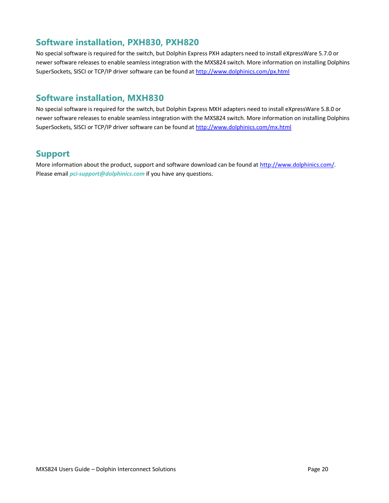# **Software installation, PXH830, PXH820**

No special software is required for the switch, but Dolphin Express PXH adapters need to install eXpressWare 5.7.0 or newer software releases to enable seamless integration with the MXS824 switch. More information on installing Dolphins SuperSockets, SISCI or TCP/IP driver software can be found at<http://www.dolphinics.com/px.html>

# **Software installation, MXH830**

No special software is required for the switch, but Dolphin Express MXH adapters need to install eXpressWare 5.8.0 or newer software releases to enable seamless integration with the MXS824 switch. More information on installing Dolphins SuperSockets, SISCI or TCP/IP driver software can be found at<http://www.dolphinics.com/mx.html>

# **Support**

More information about the product, support and software download can be found at [http://www.dolphinics.com/.](http://www.dolphinics.com/) Please email *[pci-support@dolphinics.com](mailto:pci-support@dolphinics.com)* if you have any questions.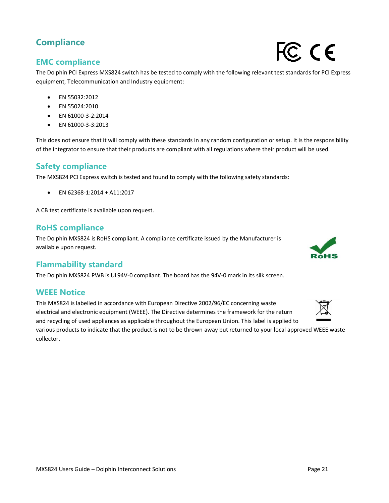# **Compliance**

# **EMC compliance**

The Dolphin PCI Express MXS824 switch has be tested to comply with the following relevant test standards for PCI Express equipment, Telecommunication and Industry equipment:

- EN 55032:2012
- EN 55024:2010
- EN 61000-3-2:2014
- EN 61000-3-3:2013

This does not ensure that it will comply with these standards in any random configuration or setup. It is the responsibility of the integrator to ensure that their products are compliant with all regulations where their product will be used.

### **Safety compliance**

The MXS824 PCI Express switch is tested and found to comply with the following safety standards:

• EN 62368-1:2014 + A11:2017

A CB test certificate is available upon request.

### **RoHS compliance**

The Dolphin MXS824 is RoHS compliant. A compliance certificate issued by the Manufacturer is available upon request.

# **Flammability standard**

The Dolphin MXS824 PWB is UL94V-0 compliant. The board has the 94V-0 mark in its silk screen.

### **WEEE Notice**

This MXS824 is labelled in accordance with European Directive 2002/96/EC concerning waste electrical and electronic equipment (WEEE). The Directive determines the framework for the return and recycling of used appliances as applicable throughout the European Union. This label is applied to

various products to indicate that the product is not to be thrown away but returned to your local approved WEEE waste collector.